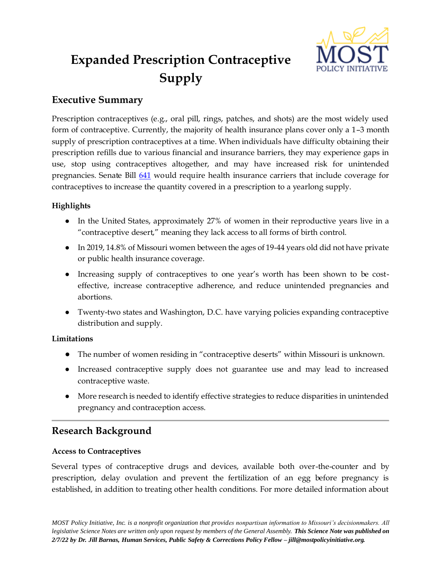

# **Expanded Prescription Contraceptive Supply**

## **Executive Summary**

Prescription contraceptives (e.g., oral pill, rings, patches, and shots) are the most widely used form of contraceptive. Currently, the majority of health insurance plans cover only a 1–3 month supply of prescription contraceptives at a time. When individuals have difficulty obtaining their prescription refills due to various financial and insurance barriers, they may experience gaps in use, stop using contraceptives altogether, and may have increased risk for unintended pregnancies. Senate Bill [641](https://www.senate.mo.gov/22info/BTS_Web/Bill.aspx?SessionType=R&BillID=71259824) would require health insurance carriers that include coverage for contraceptives to increase the quantity covered in a prescription to a yearlong supply.

## **Highlights**

- In the United States, approximately 27% of women in their reproductive years live in a "contraceptive desert," meaning they lack access to all forms of birth control.
- In 2019, 14.8% of Missouri women between the ages of 19-44 years old did not have private or public health insurance coverage.
- Increasing supply of contraceptives to one year's worth has been shown to be costeffective, increase contraceptive adherence, and reduce unintended pregnancies and abortions.
- Twenty-two states and Washington, D.C. have varying policies expanding contraceptive distribution and supply.

## **Limitations**

- The number of women residing in "contraceptive deserts" within Missouri is unknown.
- Increased contraceptive supply does not guarantee use and may lead to increased contraceptive waste.
- More research is needed to identify effective strategies to reduce disparities in unintended pregnancy and contraception access.

# **Research Background**

## **Access to Contraceptives**

Several types of contraceptive drugs and devices, available both over-the-counter and by prescription, delay ovulation and prevent the fertilization of an egg before pregnancy is established, in addition to treating other health conditions. For more detailed information about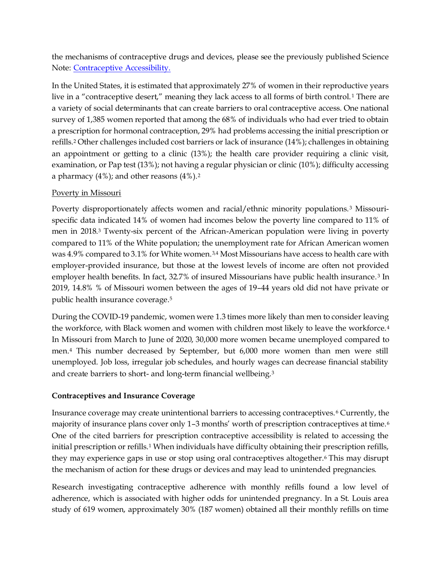the mechanisms of contraceptive drugs and devices, please see the previously published Science Note: [Contraceptive Accessibility.](https://mostpolicyinitiative.org/science-note/contraceptive-accessibility/) 

In the United States, it is estimated that approximately 27% of women in their reproductive years live in a "contraceptive desert," meaning they lack access to all forms of birth control.<sup>1</sup> There are a variety of social determinants that can create barriers to oral contraceptive access. One national survey of 1,385 women reported that among the 68% of individuals who had ever tried to obtain a prescription for hormonal contraception, 29% had problems accessing the initial prescription or refills.<sup>2</sup> Other challenges included cost barriers or lack of insurance (14%); challenges in obtaining an appointment or getting to a clinic (13%); the health care provider requiring a clinic visit, examination, or Pap test (13%); not having a regular physician or clinic (10%); difficulty accessing a pharmacy  $(4\%)$ ; and other reasons  $(4\%)$ .<sup>2</sup>

#### Poverty in Missouri

Poverty disproportionately affects women and racial/ethnic minority populations. <sup>3</sup> Missourispecific data indicated 14% of women had incomes below the poverty line compared to 11% of men in 2018.<sup>3</sup> Twenty-six percent of the African-American population were living in poverty compared to 11% of the White population; the unemployment rate for African American women was 4.9% compared to 3.1% for White women.<sup>3,4</sup> Most Missourians have access to health care with employer-provided insurance, but those at the lowest levels of income are often not provided employer health benefits. In fact, 32.7% of insured Missourians have public health insurance.<sup>3</sup> In 2019, 14.8% % of Missouri women between the ages of 19–44 years old did not have private or public health insurance coverage.<sup>5</sup>

During the COVID-19 pandemic, women were 1.3 times more likely than men to consider leaving the workforce, with Black women and women with children most likely to leave the workforce.<sup>4</sup> In Missouri from March to June of 2020, 30,000 more women became unemployed compared to men.<sup>4</sup> This number decreased by September, but 6,000 more women than men were still unemployed. Job loss, irregular job schedules, and hourly wages can decrease financial stability and create barriers to short- and long-term financial wellbeing.<sup>3</sup>

#### **Contraceptives and Insurance Coverage**

Insurance coverage may create unintentional barriers to accessing contraceptives. <sup>6</sup> Currently, the majority of insurance plans cover only 1-3 months' worth of prescription contraceptives at time.<sup>6</sup> One of the cited barriers for prescription contraceptive accessibility is related to accessing the initial prescription or refills.<sup>1</sup> When individuals have difficulty obtaining their prescription refills, they may experience gaps in use or stop using oral contraceptives altogether.<sup>6</sup> This may disrupt the mechanism of action for these drugs or devices and may lead to unintended pregnancies.

Research investigating contraceptive adherence with monthly refills found a low level of adherence, which is associated with higher odds for unintended pregnancy. In a St. Louis area study of 619 women, approximately 30% (187 women) obtained all their monthly refills on time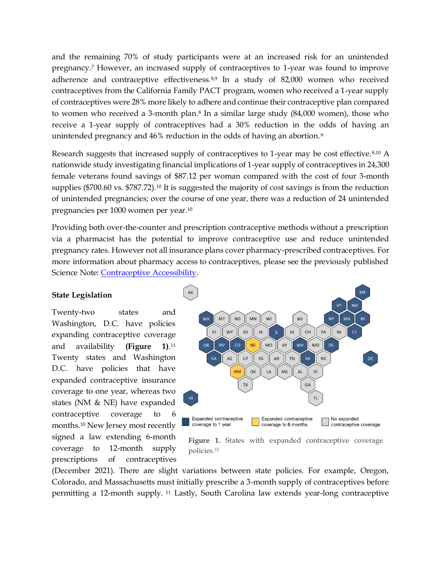and the remaining 70% of study participants were at an increased risk for an unintended pregnancy.<sup>7</sup> However, an increased supply of contraceptives to 1-year was found to improve adherence and contraceptive effectiveness.8,9 In a study of 82,000 women who received contraceptives from the California Family PACT program, women who received a 1-year supply of contraceptives were 28% more likely to adhere and continue their contraceptive plan compared to women who received a 3-month plan.<sup>8</sup> In a similar large study (84,000 women), those who receive a 1-year supply of contraceptives had a 30% reduction in the odds of having an unintended pregnancy and 46% reduction in the odds of having an abortion.<sup>9</sup>

Research suggests that increased supply of contraceptives to 1-year may be cost effective.8,10 A nationwide study investigating financial implications of 1-year supply of contraceptives in 24,300 female veterans found savings of \$87.12 per woman compared with the cost of four 3-month supplies (\$700.60 vs. \$787.72).<sup>10</sup> It is suggested the majority of cost savings is from the reduction of unintended pregnancies; over the course of one year, there was a reduction of 24 unintended pregnancies per 1000 women per year.<sup>10</sup>

Providing both over-the-counter and prescription contraceptive methods without a prescription via a pharmacist has the potential to improve contraceptive use and reduce unintended pregnancy rates. However not all insurance plans cover pharmacy-prescribed contraceptives. For more information about pharmacy access to contraceptives, please see the previously published Science Note: [Contraceptive Accessibility.](https://mostpolicyinitiative.org/science-note/contraceptive-accessibility/)

#### **State Legislation**

Twenty-two states and Washington, D.C. have policies expanding contraceptive coverage and availability (Figure  $11^{11}$ Twenty states and Washington D.C. have policies that have expanded contraceptive insurance coverage to one year, whereas two states (NM & NE) have expanded contraceptive coverage to 6 months.<sup>10</sup> New Jersey most recently signed a law extending 6-month coverage to 12-month supply prescriptions of contraceptives



Figure 1. States with expanded contraceptive coverage policies. 11

(December 2021). There are slight variations between state policies. For example, Oregon, Colorado, and Massachusetts must initially prescribe a 3-month supply of contraceptives before permitting a 12-month supply. <sup>11</sup> Lastly, South Carolina law extends year-long contraceptive